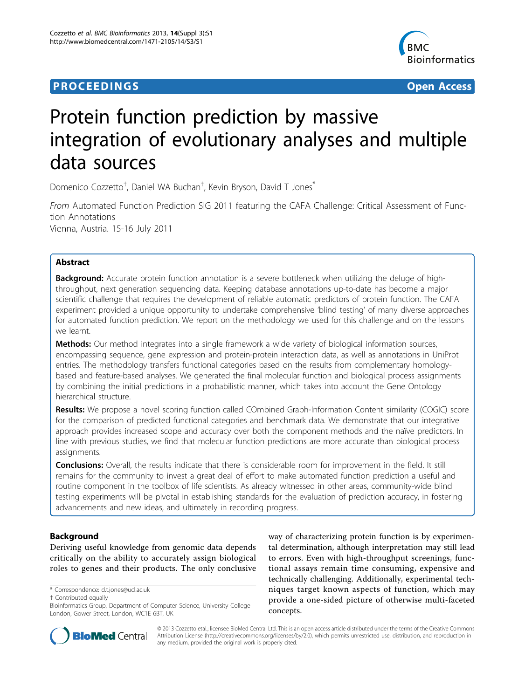# **PROCEEDINGS CONSUMING S** Open Access **CONSUMING S**



# Protein function prediction by massive integration of evolutionary analyses and multiple data sources

Domenico Cozzetto<sup>†</sup>, Daniel WA Buchan<sup>†</sup>, Kevin Bryson, David T Jones<sup>\*</sup>

From Automated Function Prediction SIG 2011 featuring the CAFA Challenge: Critical Assessment of Function Annotations Vienna, Austria. 15-16 July 2011

# Abstract

**Background:** Accurate protein function annotation is a severe bottleneck when utilizing the deluge of highthroughput, next generation sequencing data. Keeping database annotations up-to-date has become a major scientific challenge that requires the development of reliable automatic predictors of protein function. The CAFA experiment provided a unique opportunity to undertake comprehensive 'blind testing' of many diverse approaches for automated function prediction. We report on the methodology we used for this challenge and on the lessons we learnt.

**Methods:** Our method integrates into a single framework a wide variety of biological information sources, encompassing sequence, gene expression and protein-protein interaction data, as well as annotations in UniProt entries. The methodology transfers functional categories based on the results from complementary homologybased and feature-based analyses. We generated the final molecular function and biological process assignments by combining the initial predictions in a probabilistic manner, which takes into account the Gene Ontology hierarchical structure.

Results: We propose a novel scoring function called COmbined Graph-Information Content similarity (COGIC) score for the comparison of predicted functional categories and benchmark data. We demonstrate that our integrative approach provides increased scope and accuracy over both the component methods and the naïve predictors. In line with previous studies, we find that molecular function predictions are more accurate than biological process assignments.

Conclusions: Overall, the results indicate that there is considerable room for improvement in the field. It still remains for the community to invest a great deal of effort to make automated function prediction a useful and routine component in the toolbox of life scientists. As already witnessed in other areas, community-wide blind testing experiments will be pivotal in establishing standards for the evaluation of prediction accuracy, in fostering advancements and new ideas, and ultimately in recording progress.

# Background

Deriving useful knowledge from genomic data depends critically on the ability to accurately assign biological roles to genes and their products. The only conclusive

† Contributed equally

way of characterizing protein function is by experimental determination, although interpretation may still lead to errors. Even with high-throughput screenings, functional assays remain time consuming, expensive and technically challenging. Additionally, experimental techniques target known aspects of function, which may provide a one-sided picture of otherwise multi-faceted concepts.



© 2013 Cozzetto etal.; licensee BioMed Central Ltd. This is an open access article distributed under the terms of the Creative Commons Attribution License [\(http://creativecommons.org/licenses/by/2.0](http://creativecommons.org/licenses/by/2.0)), which permits unrestricted use, distribution, and reproduction in any medium, provided the original work is properly cited.

<sup>\*</sup> Correspondence: [d.t.jones@ucl.ac.uk](mailto:d.t.jones@ucl.ac.uk)

Bioinformatics Group, Department of Computer Science, University College London, Gower Street, London, WC1E 6BT, UK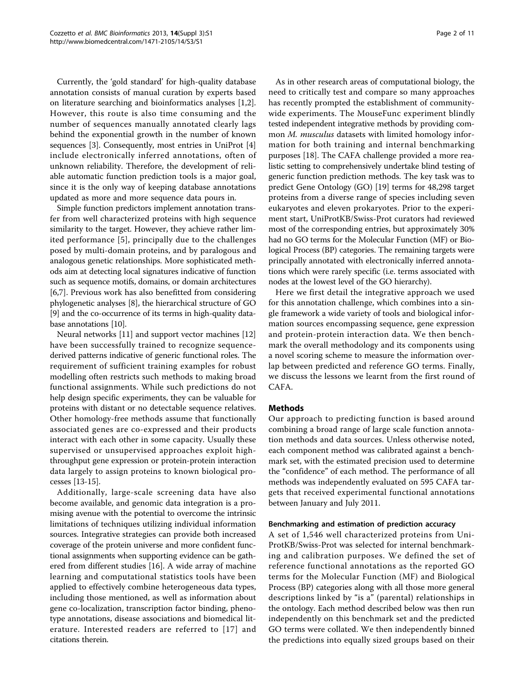Currently, the 'gold standard' for high-quality database annotation consists of manual curation by experts based on literature searching and bioinformatics analyses [\[1,2](#page-9-0)]. However, this route is also time consuming and the number of sequences manually annotated clearly lags behind the exponential growth in the number of known sequences [[3\]](#page-9-0). Consequently, most entries in UniProt [[4](#page-9-0)] include electronically inferred annotations, often of unknown reliability. Therefore, the development of reliable automatic function prediction tools is a major goal, since it is the only way of keeping database annotations updated as more and more sequence data pours in.

Simple function predictors implement annotation transfer from well characterized proteins with high sequence similarity to the target. However, they achieve rather limited performance [[5\]](#page-9-0), principally due to the challenges posed by multi-domain proteins, and by paralogous and analogous genetic relationships. More sophisticated methods aim at detecting local signatures indicative of function such as sequence motifs, domains, or domain architectures [[6,7\]](#page-9-0). Previous work has also benefitted from considering phylogenetic analyses [\[8](#page-9-0)], the hierarchical structure of GO [[9\]](#page-9-0) and the co-occurrence of its terms in high-quality database annotations [\[10\]](#page-9-0).

Neural networks [\[11\]](#page-9-0) and support vector machines [[12](#page-9-0)] have been successfully trained to recognize sequencederived patterns indicative of generic functional roles. The requirement of sufficient training examples for robust modelling often restricts such methods to making broad functional assignments. While such predictions do not help design specific experiments, they can be valuable for proteins with distant or no detectable sequence relatives. Other homology-free methods assume that functionally associated genes are co-expressed and their products interact with each other in some capacity. Usually these supervised or unsupervised approaches exploit highthroughput gene expression or protein-protein interaction data largely to assign proteins to known biological processes [\[13-15\]](#page-9-0).

Additionally, large-scale screening data have also become available, and genomic data integration is a promising avenue with the potential to overcome the intrinsic limitations of techniques utilizing individual information sources. Integrative strategies can provide both increased coverage of the protein universe and more confident functional assignments when supporting evidence can be gathered from different studies [[16\]](#page-9-0). A wide array of machine learning and computational statistics tools have been applied to effectively combine heterogeneous data types, including those mentioned, as well as information about gene co-localization, transcription factor binding, phenotype annotations, disease associations and biomedical literature. Interested readers are referred to [[17\]](#page-9-0) and citations therein.

As in other research areas of computational biology, the need to critically test and compare so many approaches has recently prompted the establishment of communitywide experiments. The MouseFunc experiment blindly tested independent integrative methods by providing common M. musculus datasets with limited homology information for both training and internal benchmarking purposes [[18\]](#page-9-0). The CAFA challenge provided a more realistic setting to comprehensively undertake blind testing of generic function prediction methods. The key task was to predict Gene Ontology (GO) [[19\]](#page-9-0) terms for 48,298 target proteins from a diverse range of species including seven eukaryotes and eleven prokaryotes. Prior to the experiment start, UniProtKB/Swiss-Prot curators had reviewed most of the corresponding entries, but approximately 30% had no GO terms for the Molecular Function (MF) or Biological Process (BP) categories. The remaining targets were principally annotated with electronically inferred annotations which were rarely specific (i.e. terms associated with nodes at the lowest level of the GO hierarchy).

Here we first detail the integrative approach we used for this annotation challenge, which combines into a single framework a wide variety of tools and biological information sources encompassing sequence, gene expression and protein-protein interaction data. We then benchmark the overall methodology and its components using a novel scoring scheme to measure the information overlap between predicted and reference GO terms. Finally, we discuss the lessons we learnt from the first round of CAFA.

# Methods

Our approach to predicting function is based around combining a broad range of large scale function annotation methods and data sources. Unless otherwise noted, each component method was calibrated against a benchmark set, with the estimated precision used to determine the "confidence" of each method. The performance of all methods was independently evaluated on 595 CAFA targets that received experimental functional annotations between January and July 2011.

# Benchmarking and estimation of prediction accuracy

A set of 1,546 well characterized proteins from Uni-ProtKB/Swiss-Prot was selected for internal benchmarking and calibration purposes. We defined the set of reference functional annotations as the reported GO terms for the Molecular Function (MF) and Biological Process (BP) categories along with all those more general descriptions linked by "is a" (parental) relationships in the ontology. Each method described below was then run independently on this benchmark set and the predicted GO terms were collated. We then independently binned the predictions into equally sized groups based on their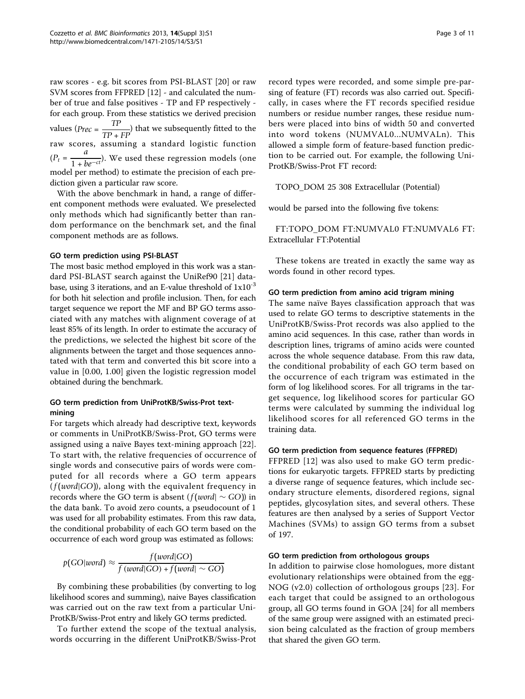raw scores - e.g. bit scores from PSI-BLAST [\[20](#page-9-0)] or raw SVM scores from FFPRED [\[12\]](#page-9-0) - and calculated the number of true and false positives - TP and FP respectively for each group. From these statistics we derived precision values (*Prec* =  $\frac{TP}{TP + FP}$ ) that we subsequently fitted to the raw scores, assuming a standard logistic function  $(P_t = \frac{a}{1 + be^{-ct}})$ . We used these regression models (one model per method) to estimate the precision of each prediction given a particular raw score.

With the above benchmark in hand, a range of different component methods were evaluated. We preselected only methods which had significantly better than random performance on the benchmark set, and the final component methods are as follows.

## GO term prediction using PSI-BLAST

The most basic method employed in this work was a standard PSI-BLAST search against the UniRef90 [[21](#page-9-0)] database, using 3 iterations, and an E-value threshold of  $1x10^{-3}$ for both hit selection and profile inclusion. Then, for each target sequence we report the MF and BP GO terms associated with any matches with alignment coverage of at least 85% of its length. In order to estimate the accuracy of the predictions, we selected the highest bit score of the alignments between the target and those sequences annotated with that term and converted this bit score into a value in [0.00, 1.00] given the logistic regression model obtained during the benchmark.

# GO term prediction from UniProtKB/Swiss-Prot textmining

For targets which already had descriptive text, keywords or comments in UniProtKB/Swiss-Prot, GO terms were assigned using a naïve Bayes text-mining approach [[22](#page-9-0)]. To start with, the relative frequencies of occurrence of single words and consecutive pairs of words were computed for all records where a GO term appears (*f* (*word*|*GO*)), along with the equivalent frequency in records where the GO term is absent (*f* (*word*| ∼ *GO*)) in the data bank. To avoid zero counts, a pseudocount of 1 was used for all probability estimates. From this raw data, the conditional probability of each GO term based on the occurrence of each word group was estimated as follows:

$$
p(GO|word) \approx \frac{f(word|GO)}{f(word|GO) + f(word| \sim GO)}
$$

By combining these probabilities (by converting to log likelihood scores and summing), naive Bayes classification was carried out on the raw text from a particular Uni-ProtKB/Swiss-Prot entry and likely GO terms predicted.

To further extend the scope of the textual analysis, words occurring in the different UniProtKB/Swiss-Prot record types were recorded, and some simple pre-parsing of feature (FT) records was also carried out. Specifically, in cases where the FT records specified residue numbers or residue number ranges, these residue numbers were placed into bins of width 50 and converted into word tokens (NUMVAL0...NUMVALn). This allowed a simple form of feature-based function prediction to be carried out. For example, the following Uni-ProtKB/Swiss-Prot FT record:

TOPO\_DOM 25 308 Extracellular (Potential)

would be parsed into the following five tokens:

FT:TOPO\_DOM FT:NUMVAL0 FT:NUMVAL6 FT: Extracellular FT:Potential

These tokens are treated in exactly the same way as words found in other record types.

# GO term prediction from amino acid trigram mining

The same naïve Bayes classification approach that was used to relate GO terms to descriptive statements in the UniProtKB/Swiss-Prot records was also applied to the amino acid sequences. In this case, rather than words in description lines, trigrams of amino acids were counted across the whole sequence database. From this raw data, the conditional probability of each GO term based on the occurrence of each trigram was estimated in the form of log likelihood scores. For all trigrams in the target sequence, log likelihood scores for particular GO terms were calculated by summing the individual log likelihood scores for all referenced GO terms in the training data.

# GO term prediction from sequence features (FFPRED)

FFPRED [\[12\]](#page-9-0) was also used to make GO term predictions for eukaryotic targets. FFPRED starts by predicting a diverse range of sequence features, which include secondary structure elements, disordered regions, signal peptides, glycosylation sites, and several others. These features are then analysed by a series of Support Vector Machines (SVMs) to assign GO terms from a subset of 197.

# GO term prediction from orthologous groups

In addition to pairwise close homologues, more distant evolutionary relationships were obtained from the egg-NOG (v2.0) collection of orthologous groups [[23](#page-10-0)]. For each target that could be assigned to an orthologous group, all GO terms found in GOA [\[24](#page-10-0)] for all members of the same group were assigned with an estimated precision being calculated as the fraction of group members that shared the given GO term.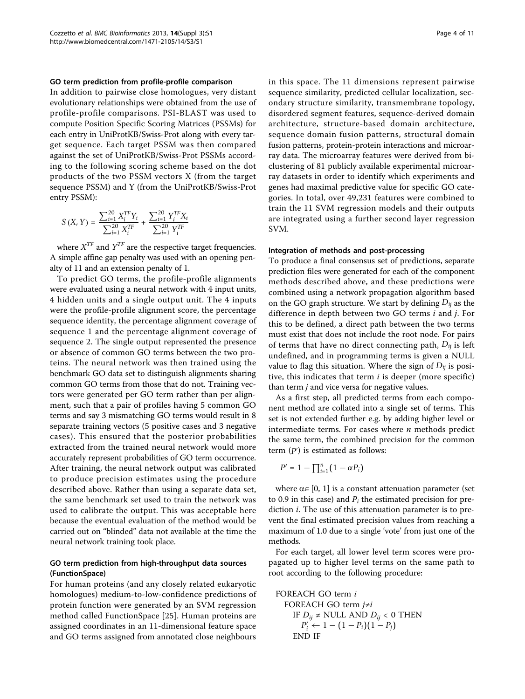## GO term prediction from profile-profile comparison

In addition to pairwise close homologues, very distant evolutionary relationships were obtained from the use of profile-profile comparisons. PSI-BLAST was used to compute Position Specific Scoring Matrices (PSSMs) for each entry in UniProtKB/Swiss-Prot along with every target sequence. Each target PSSM was then compared against the set of UniProtKB/Swiss-Prot PSSMs according to the following scoring scheme based on the dot products of the two PSSM vectors X (from the target sequence PSSM) and Y (from the UniProtKB/Swiss-Prot entry PSSM):

$$
S\left(X,Y\right) = \frac{\sum_{i=1}^{20} X_i^{TF} Y_i}{\sum_{i=1}^{20} X_i^{TF}} + \frac{\sum_{i=1}^{20} Y_i^{TF} X_i}{\sum_{i=1}^{20} Y_i^{TF}}
$$

where  $X^{TF}$  and  $Y^{TF}$  are the respective target frequencies. A simple affine gap penalty was used with an opening penalty of 11 and an extension penalty of 1.

To predict GO terms, the profile-profile alignments were evaluated using a neural network with 4 input units, 4 hidden units and a single output unit. The 4 inputs were the profile-profile alignment score, the percentage sequence identity, the percentage alignment coverage of sequence 1 and the percentage alignment coverage of sequence 2. The single output represented the presence or absence of common GO terms between the two proteins. The neural network was then trained using the benchmark GO data set to distinguish alignments sharing common GO terms from those that do not. Training vectors were generated per GO term rather than per alignment, such that a pair of profiles having 5 common GO terms and say 3 mismatching GO terms would result in 8 separate training vectors (5 positive cases and 3 negative cases). This ensured that the posterior probabilities extracted from the trained neural network would more accurately represent probabilities of GO term occurrence. After training, the neural network output was calibrated to produce precision estimates using the procedure described above. Rather than using a separate data set, the same benchmark set used to train the network was used to calibrate the output. This was acceptable here because the eventual evaluation of the method would be carried out on "blinded" data not available at the time the neural network training took place.

# GO term prediction from high-throughput data sources (FunctionSpace)

For human proteins (and any closely related eukaryotic homologues) medium-to-low-confidence predictions of protein function were generated by an SVM regression method called FunctionSpace [\[25](#page-10-0)]. Human proteins are assigned coordinates in an 11-dimensional feature space and GO terms assigned from annotated close neighbours in this space. The 11 dimensions represent pairwise sequence similarity, predicted cellular localization, secondary structure similarity, transmembrane topology, disordered segment features, sequence-derived domain architecture, structure-based domain architecture, sequence domain fusion patterns, structural domain fusion patterns, protein-protein interactions and microarray data. The microarray features were derived from biclustering of 81 publicly available experimental microarray datasets in order to identify which experiments and genes had maximal predictive value for specific GO categories. In total, over 49,231 features were combined to train the 11 SVM regression models and their outputs are integrated using a further second layer regression SVM.

## Integration of methods and post-processing

To produce a final consensus set of predictions, separate prediction files were generated for each of the component methods described above, and these predictions were combined using a network propagation algorithm based on the GO graph structure. We start by defining  $D_{ij}$  as the difference in depth between two GO terms  $i$  and  $j$ . For this to be defined, a direct path between the two terms must exist that does not include the root node. For pairs of terms that have no direct connecting path, *Dij* is left undefined, and in programming terms is given a NULL value to flag this situation. Where the sign of *Dij* is positive, this indicates that term  $i$  is deeper (more specific) than term j and vice versa for negative values.

As a first step, all predicted terms from each component method are collated into a single set of terms. This set is not extended further e.g. by adding higher level or intermediate terms. For cases where  $n$  methods predict the same term, the combined precision for the common term  $(P)$  is estimated as follows:

$$
P'=1-\prod_{i=1}^n(1-\alpha P_i)
$$

where  $\alpha \in [0, 1]$  is a constant attenuation parameter (set to 0.9 in this case) and  $P_i$  the estimated precision for prediction *i*. The use of this attenuation parameter is to prevent the final estimated precision values from reaching a maximum of 1.0 due to a single 'vote' from just one of the methods.

For each target, all lower level term scores were propagated up to higher level terms on the same path to root according to the following procedure:

FOREACH GO term  $i$ FOREACH GO term  $j \neq i$ IF  $D_{ij} \neq \text{NULL}$  AND  $D_{ij} < 0$  THEN *P*<sup>*i*</sup> ← 1 – (1 – *P<sub>i</sub>*)(1 – *P<sub>j</sub>*) END IF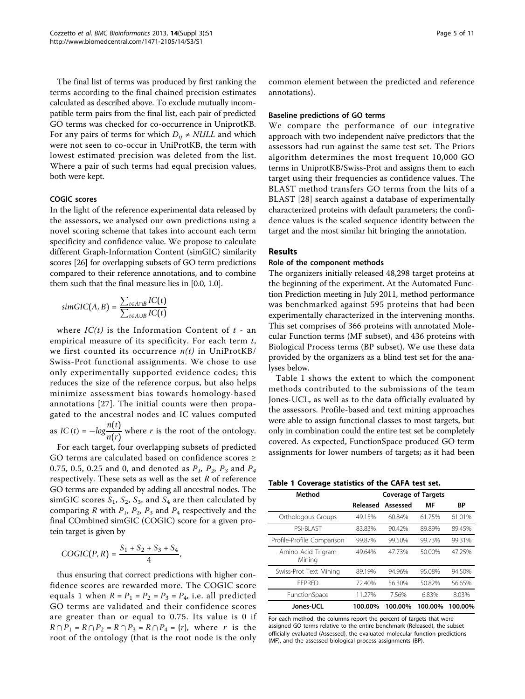<span id="page-4-0"></span>The final list of terms was produced by first ranking the terms according to the final chained precision estimates calculated as described above. To exclude mutually incompatible term pairs from the final list, each pair of predicted GO terms was checked for co-occurrence in UniprotKB. For any pairs of terms for which  $D_{ii} \neq NULL$  and which were not seen to co-occur in UniProtKB, the term with lowest estimated precision was deleted from the list. Where a pair of such terms had equal precision values, both were kept.

# COGIC scores

In the light of the reference experimental data released by the assessors, we analysed our own predictions using a novel scoring scheme that takes into account each term specificity and confidence value. We propose to calculate different Graph-Information Content (simGIC) similarity scores [[26](#page-10-0)] for overlapping subsets of GO term predictions compared to their reference annotations, and to combine them such that the final measure lies in [0.0, 1.0].

$$
simGIC(A, B) = \frac{\sum_{t \in A \cap B} IC(t)}{\sum_{t \in A \cup B} IC(t)}
$$

where  $IC(t)$  is the Information Content of  $t$  - an empirical measure of its specificity. For each term t, we first counted its occurrence  $n(t)$  in UniProtKB/ Swiss-Prot functional assignments. We chose to use only experimentally supported evidence codes; this reduces the size of the reference corpus, but also helps minimize assessment bias towards homology-based annotations [\[27\]](#page-10-0). The initial counts were then propagated to the ancestral nodes and IC values computed

as *IC* (*t*) =  $-\log \frac{n(t)}{n(r)}$  where *r* is the root of the ontology.

For each target, four overlapping subsets of predicted GO terms are calculated based on confidence scores ≥ 0.75, 0.5, 0.25 and 0, and denoted as  $P_1$ ,  $P_2$ ,  $P_3$  and  $P_4$ respectively. These sets as well as the set  $R$  of reference GO terms are expanded by adding all ancestral nodes. The simGIC scores  $S_1$ ,  $S_2$ ,  $S_3$ , and  $S_4$  are then calculated by comparing R with  $P_1$ ,  $P_2$ ,  $P_3$  and  $P_4$  respectively and the final COmbined simGIC (COGIC) score for a given protein target is given by

$$
COGIC(P,R) = \frac{S_1 + S_2 + S_3 + S_4}{4},
$$

thus ensuring that correct predictions with higher confidence scores are rewarded more. The COGIC score equals 1 when  $R = P_1 = P_2 = P_3 = P_4$ , i.e. all predicted GO terms are validated and their confidence scores are greater than or equal to 0.75. Its value is 0 if *R*∩ *P*<sub>1</sub> = *R*∩ *P*<sub>2</sub> = *R*∩ *P*<sub>3</sub> = *R*∩ *P*<sub>4</sub> = {*r*}, where *r* is the root of the ontology (that is the root node is the only common element between the predicted and reference annotations).

## Baseline predictions of GO terms

We compare the performance of our integrative approach with two independent naïve predictors that the assessors had run against the same test set. The Priors algorithm determines the most frequent 10,000 GO terms in UniprotKB/Swiss-Prot and assigns them to each target using their frequencies as confidence values. The BLAST method transfers GO terms from the hits of a BLAST [\[28](#page-10-0)] search against a database of experimentally characterized proteins with default parameters; the confidence values is the scaled sequence identity between the target and the most similar hit bringing the annotation.

# Results

# Role of the component methods

The organizers initially released 48,298 target proteins at the beginning of the experiment. At the Automated Function Prediction meeting in July 2011, method performance was benchmarked against 595 proteins that had been experimentally characterized in the intervening months. This set comprises of 366 proteins with annotated Molecular Function terms (MF subset), and 436 proteins with Biological Process terms (BP subset). We use these data provided by the organizers as a blind test set for the analyses below.

Table 1 shows the extent to which the component methods contributed to the submissions of the team Jones-UCL, as well as to the data officially evaluated by the assessors. Profile-based and text mining approaches were able to assign functional classes to most targets, but only in combination could the entire test set be completely covered. As expected, FunctionSpace produced GO term assignments for lower numbers of targets; as it had been

|  | Table 1 Coverage statistics of the CAFA test set. |  |  |  |  |  |
|--|---------------------------------------------------|--|--|--|--|--|
|--|---------------------------------------------------|--|--|--|--|--|

| Method                       | <b>Coverage of Targets</b> |          |         |         |  |
|------------------------------|----------------------------|----------|---------|---------|--|
|                              | Released                   | Assessed | ΜF      | ΒP      |  |
| Orthologous Groups           | 49.15%                     | 60.84%   | 61.75%  | 61.01%  |  |
| <b>PSI-BI AST</b>            | 83.83%                     | 90.42%   | 89.89%  | 89.45%  |  |
| Profile-Profile Comparison   | 99.87%                     | 99.50%   | 99.73%  | 99.31%  |  |
| Amino Acid Trigram<br>Mining | 49.64%                     | 47.73%   | 50.00%  | 47.25%  |  |
| Swiss-Prot Text Mining       | 89.19%                     | 94.96%   | 95.08%  | 94.50%  |  |
| <b>FFPRFD</b>                | 72.40%                     | 56.30%   | 50.82%  | 56.65%  |  |
| FunctionSpace                | 11.27%                     | 7.56%    | 6.83%   | 8.03%   |  |
| Jones-UCL                    | 100.00%                    | 100.00%  | 100.00% | 100.00% |  |

For each method, the columns report the percent of targets that were assigned GO terms relative to the entire benchmark (Released), the subset officially evaluated (Assessed), the evaluated molecular function predictions (MF), and the assessed biological process assignments (BP).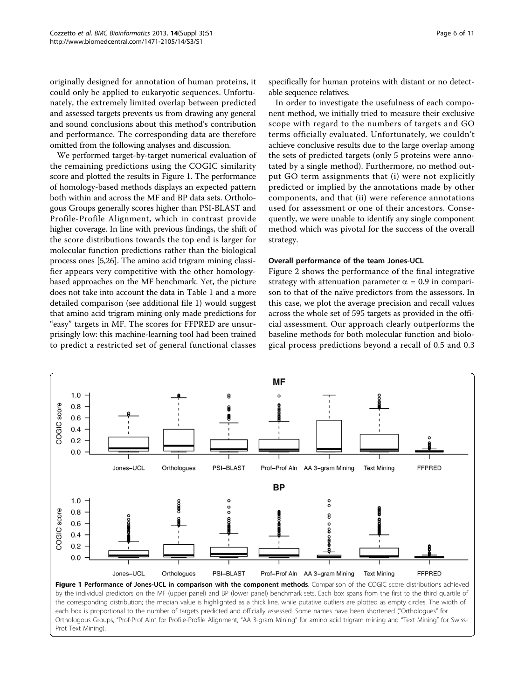<span id="page-5-0"></span>originally designed for annotation of human proteins, it could only be applied to eukaryotic sequences. Unfortunately, the extremely limited overlap between predicted and assessed targets prevents us from drawing any general and sound conclusions about this method's contribution and performance. The corresponding data are therefore omitted from the following analyses and discussion.

We performed target-by-target numerical evaluation of the remaining predictions using the COGIC similarity score and plotted the results in Figure 1. The performance of homology-based methods displays an expected pattern both within and across the MF and BP data sets. Orthologous Groups generally scores higher than PSI-BLAST and Profile-Profile Alignment, which in contrast provide higher coverage. In line with previous findings, the shift of the score distributions towards the top end is larger for molecular function predictions rather than the biological process ones [\[5,](#page-9-0)[26\]](#page-10-0). The amino acid trigram mining classifier appears very competitive with the other homologybased approaches on the MF benchmark. Yet, the picture does not take into account the data in Table [1](#page-4-0) and a more detailed comparison (see additional file [1](#page-9-0)) would suggest that amino acid trigram mining only made predictions for "easy" targets in MF. The scores for FFPRED are unsurprisingly low: this machine-learning tool had been trained to predict a restricted set of general functional classes

In order to investigate the usefulness of each component method, we initially tried to measure their exclusive scope with regard to the numbers of targets and GO terms officially evaluated. Unfortunately, we couldn't achieve conclusive results due to the large overlap among the sets of predicted targets (only 5 proteins were annotated by a single method). Furthermore, no method output GO term assignments that (i) were not explicitly predicted or implied by the annotations made by other components, and that (ii) were reference annotations used for assessment or one of their ancestors. Consequently, we were unable to identify any single component method which was pivotal for the success of the overall strategy.

# Overall performance of the team Jones-UCL

Figure [2](#page-6-0) shows the performance of the final integrative strategy with attenuation parameter  $\alpha = 0.9$  in comparison to that of the naïve predictors from the assessors. In this case, we plot the average precision and recall values across the whole set of 595 targets as provided in the official assessment. Our approach clearly outperforms the baseline methods for both molecular function and biological process predictions beyond a recall of 0.5 and 0.3

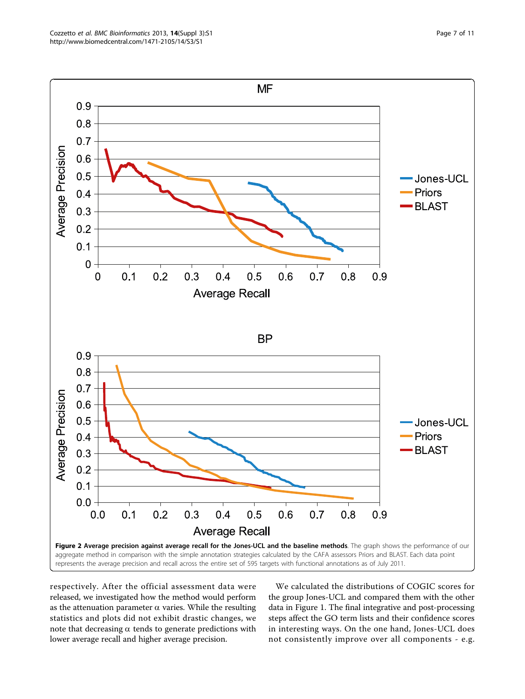<span id="page-6-0"></span>

respectively. After the official assessment data were released, we investigated how the method would perform as the attenuation parameter  $\alpha$  varies. While the resulting statistics and plots did not exhibit drastic changes, we note that decreasing  $\alpha$  tends to generate predictions with lower average recall and higher average precision.

We calculated the distributions of COGIC scores for the group Jones-UCL and compared them with the other data in Figure [1](#page-5-0). The final integrative and post-processing steps affect the GO term lists and their confidence scores in interesting ways. On the one hand, Jones-UCL does not consistently improve over all components - e.g.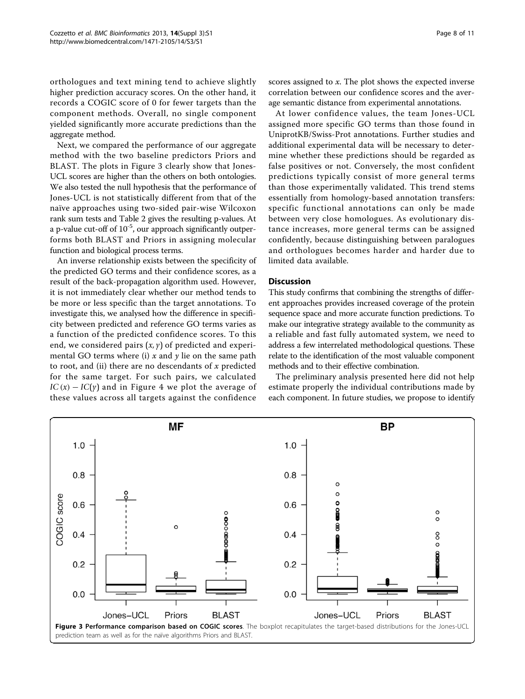orthologues and text mining tend to achieve slightly higher prediction accuracy scores. On the other hand, it records a COGIC score of 0 for fewer targets than the component methods. Overall, no single component yielded significantly more accurate predictions than the aggregate method.

Next, we compared the performance of our aggregate method with the two baseline predictors Priors and BLAST. The plots in Figure 3 clearly show that Jones-UCL scores are higher than the others on both ontologies. We also tested the null hypothesis that the performance of Jones-UCL is not statistically different from that of the naïve approaches using two-sided pair-wise Wilcoxon rank sum tests and Table [2](#page-8-0) gives the resulting p-values. At a p-value cut-off of  $10^{-5}$ , our approach significantly outperforms both BLAST and Priors in assigning molecular function and biological process terms.

An inverse relationship exists between the specificity of the predicted GO terms and their confidence scores, as a result of the back-propagation algorithm used. However, it is not immediately clear whether our method tends to be more or less specific than the target annotations. To investigate this, we analysed how the difference in specificity between predicted and reference GO terms varies as a function of the predicted confidence scores. To this end, we considered pairs (*x*, *y*) of predicted and experimental GO terms where (i)  $x$  and  $y$  lie on the same path to root, and (ii) there are no descendants of  $x$  predicted for the same target. For such pairs, we calculated *IC* (*x*) − *IC*(*y*) and in Figure [4](#page-8-0) we plot the average of these values across all targets against the confidence scores assigned to x. The plot shows the expected inverse correlation between our confidence scores and the average semantic distance from experimental annotations.

At lower confidence values, the team Jones-UCL assigned more specific GO terms than those found in UniprotKB/Swiss-Prot annotations. Further studies and additional experimental data will be necessary to determine whether these predictions should be regarded as false positives or not. Conversely, the most confident predictions typically consist of more general terms than those experimentally validated. This trend stems essentially from homology-based annotation transfers: specific functional annotations can only be made between very close homologues. As evolutionary distance increases, more general terms can be assigned confidently, because distinguishing between paralogues and orthologues becomes harder and harder due to limited data available.

# **Discussion**

This study confirms that combining the strengths of different approaches provides increased coverage of the protein sequence space and more accurate function predictions. To make our integrative strategy available to the community as a reliable and fast fully automated system, we need to address a few interrelated methodological questions. These relate to the identification of the most valuable component methods and to their effective combination.

The preliminary analysis presented here did not help estimate properly the individual contributions made by each component. In future studies, we propose to identify

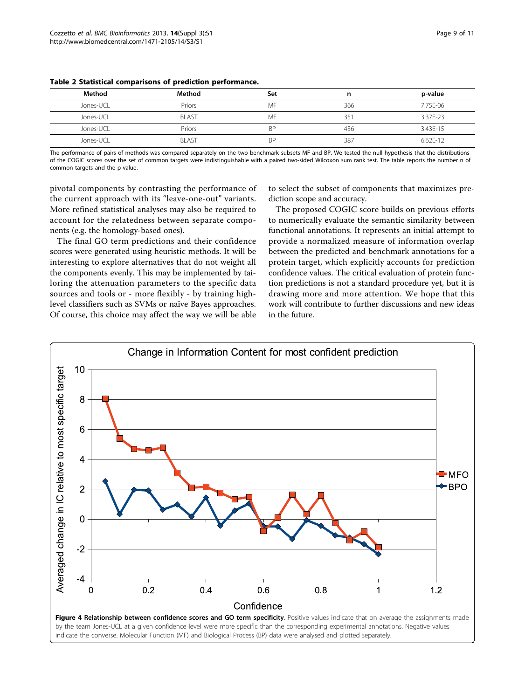| Method    | Method       | Set | n   | p-value    |
|-----------|--------------|-----|-----|------------|
| Jones-UCL | Priors       | ΜF  | 366 | 7.75F-06   |
| Jones-UCL | <b>BLAST</b> | MF  | 351 | 3.37F-23   |
| Jones-UCL | Priors       | BP  | 436 | 3.43E-15   |
| Jones-UCL | <b>BLAST</b> | ВP  | 387 | $6.62F-12$ |

<span id="page-8-0"></span>Table 2 Statistical comparisons of prediction performance.

The performance of pairs of methods was compared separately on the two benchmark subsets MF and BP. We tested the null hypothesis that the distributions of the COGIC scores over the set of common targets were indistinguishable with a paired two-sided Wilcoxon sum rank test. The table reports the number n of common targets and the p-value.

pivotal components by contrasting the performance of the current approach with its "leave-one-out" variants. More refined statistical analyses may also be required to account for the relatedness between separate components (e.g. the homology-based ones).

The final GO term predictions and their confidence scores were generated using heuristic methods. It will be interesting to explore alternatives that do not weight all the components evenly. This may be implemented by tailoring the attenuation parameters to the specific data sources and tools or - more flexibly - by training highlevel classifiers such as SVMs or naïve Bayes approaches. Of course, this choice may affect the way we will be able

to select the subset of components that maximizes prediction scope and accuracy.

The proposed COGIC score builds on previous efforts to numerically evaluate the semantic similarity between functional annotations. It represents an initial attempt to provide a normalized measure of information overlap between the predicted and benchmark annotations for a protein target, which explicitly accounts for prediction confidence values. The critical evaluation of protein function predictions is not a standard procedure yet, but it is drawing more and more attention. We hope that this work will contribute to further discussions and new ideas in the future.

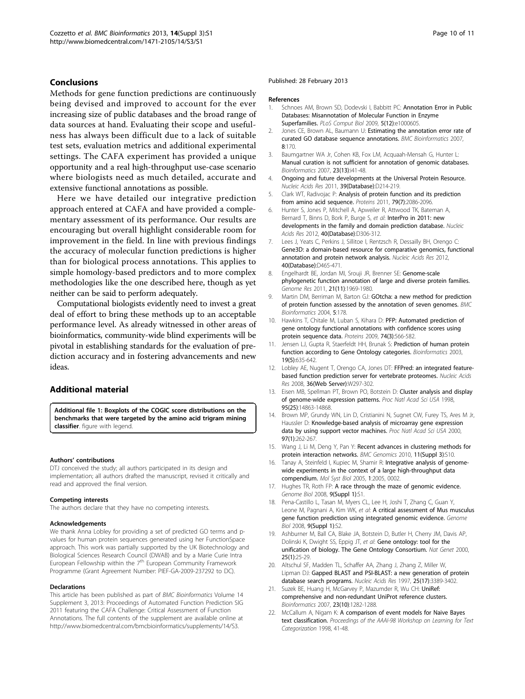# <span id="page-9-0"></span>Conclusions

Methods for gene function predictions are continuously being devised and improved to account for the ever increasing size of public databases and the broad range of data sources at hand. Evaluating their scope and usefulness has always been difficult due to a lack of suitable test sets, evaluation metrics and additional experimental settings. The CAFA experiment has provided a unique opportunity and a real high-throughput use-case scenario where biologists need as much detailed, accurate and extensive functional annotations as possible.

Here we have detailed our integrative prediction approach entered at CAFA and have provided a complementary assessment of its performance. Our results are encouraging but overall highlight considerable room for improvement in the field. In line with previous findings the accuracy of molecular function predictions is higher than for biological process annotations. This applies to simple homology-based predictors and to more complex methodologies like the one described here, though as yet neither can be said to perform adequately.

Computational biologists evidently need to invest a great deal of effort to bring these methods up to an acceptable performance level. As already witnessed in other areas of bioinformatics, community-wide blind experiments will be pivotal in establishing standards for the evaluation of prediction accuracy and in fostering advancements and new ideas.

# Additional material

[Additional file 1: B](http://www.biomedcentral.com/content/supplementary/1471-2105-14-S3-S1-S1.pdf)oxplots of the COGIC score distributions on the benchmarks that were targeted by the amino acid trigram mining classifier. figure with legend.

#### Authors' contributions

DTJ conceived the study; all authors participated in its design and implementation; all authors drafted the manuscript, revised it critically and read and approved the final version.

#### Competing interests

The authors declare that they have no competing interests.

#### Acknowledgements

We thank Anna Lobley for providing a set of predicted GO terms and pvalues for human protein sequences generated using her FunctionSpace approach. This work was partially supported by the UK Biotechnology and Biological Sciences Research Council (DWAB) and by a Marie Curie Intra<br>European Fellowship within the 7<sup>th</sup> European Community Framework Programme (Grant Agreement Number: PIEF-GA-2009-237292 to DC).

#### Declarations

This article has been published as part of BMC Bioinformatics Volume 14 Supplement 3, 2013: Proceedings of Automated Function Prediction SIG 2011 featuring the CAFA Challenge: Critical Assessment of Function Annotations. The full contents of the supplement are available online at [http://www.biomedcentral.com/bmcbioinformatics/supplements/14/S3.](http://www.biomedcentral.com/bmcbioinformatics/supplements/14/S3)

#### Published: 28 February 2013

### References

- 1. Schnoes AM, Brown SD, Dodevski I, Babbitt PC: [Annotation Error in Public](http://www.ncbi.nlm.nih.gov/pubmed/20011109?dopt=Abstract) [Databases: Misannotation of Molecular Function in Enzyme](http://www.ncbi.nlm.nih.gov/pubmed/20011109?dopt=Abstract) [Superfamilies.](http://www.ncbi.nlm.nih.gov/pubmed/20011109?dopt=Abstract) PLoS Comput Biol 2009, 5(12):e1000605.
- 2. Jones CE, Brown AL, Baumann U: [Estimating the annotation error rate of](http://www.ncbi.nlm.nih.gov/pubmed/17519041?dopt=Abstract) [curated GO database sequence annotations.](http://www.ncbi.nlm.nih.gov/pubmed/17519041?dopt=Abstract) BMC Bioinformatics 2007, 8:170.
- 3. Baumgartner WA Jr, Cohen KB, Fox LM, Acquaah-Mensah G, Hunter L: [Manual curation is not sufficient for annotation of genomic databases.](http://www.ncbi.nlm.nih.gov/pubmed/17646325?dopt=Abstract) Bioinformatics 2007, 23(13):i41-48.
- 4. Ongoing and future developments at the Universal Protein Resource. Nucleic Acids Res 2011, 39(Database):D214-219.
- 5. Clark WT, Radivojac P: [Analysis of protein function and its prediction](http://www.ncbi.nlm.nih.gov/pubmed/21671271?dopt=Abstract) [from amino acid sequence.](http://www.ncbi.nlm.nih.gov/pubmed/21671271?dopt=Abstract) Proteins 2011, 79(7):2086-2096.
- 6. Hunter S, Jones P, Mitchell A, Apweiler R, Attwood TK, Bateman A, Bernard T, Binns D, Bork P, Burge S, et al: [InterPro in 2011: new](http://www.ncbi.nlm.nih.gov/pubmed/22096229?dopt=Abstract) [developments in the family and domain prediction database.](http://www.ncbi.nlm.nih.gov/pubmed/22096229?dopt=Abstract) Nucleic Acids Res 2012, 40(Database):D306-312.
- 7. Lees J, Yeats C, Perkins J, Sillitoe I, Rentzsch R, Dessailly BH, Orengo C: [Gene3D: a domain-based resource for comparative genomics, functional](http://www.ncbi.nlm.nih.gov/pubmed/22139938?dopt=Abstract) [annotation and protein network analysis.](http://www.ncbi.nlm.nih.gov/pubmed/22139938?dopt=Abstract) Nucleic Acids Res 2012, 40(Database):D465-471.
- 8. Engelhardt BE, Jordan MI, Srouji JR, Brenner SE: [Genome-scale](http://www.ncbi.nlm.nih.gov/pubmed/21784873?dopt=Abstract) [phylogenetic function annotation of large and diverse protein families.](http://www.ncbi.nlm.nih.gov/pubmed/21784873?dopt=Abstract) Genome Res 2011, 21(11):1969-1980.
- 9. Martin DM, Berriman M, Barton GJ: [GOtcha: a new method for prediction](http://www.ncbi.nlm.nih.gov/pubmed/15550167?dopt=Abstract) [of protein function assessed by the annotation of seven genomes.](http://www.ncbi.nlm.nih.gov/pubmed/15550167?dopt=Abstract) BMC Bioinformatics 2004, 5:178.
- 10. Hawkins T, Chitale M, Luban S, Kihara D: [PFP: Automated prediction of](http://www.ncbi.nlm.nih.gov/pubmed/18655063?dopt=Abstract) [gene ontology functional annotations with confidence scores using](http://www.ncbi.nlm.nih.gov/pubmed/18655063?dopt=Abstract) [protein sequence data.](http://www.ncbi.nlm.nih.gov/pubmed/18655063?dopt=Abstract) Proteins 2009, 74(3):566-582.
- 11. Jensen LJ, Gupta R, Staerfeldt HH, Brunak S: [Prediction of human protein](http://www.ncbi.nlm.nih.gov/pubmed/12651722?dopt=Abstract) [function according to Gene Ontology categories.](http://www.ncbi.nlm.nih.gov/pubmed/12651722?dopt=Abstract) Bioinformatics 2003, 19(5):635-642.
- 12. Lobley AE, Nugent T, Orengo CA, Jones DT: [FFPred: an integrated feature](http://www.ncbi.nlm.nih.gov/pubmed/18463141?dopt=Abstract)[based function prediction server for vertebrate proteomes.](http://www.ncbi.nlm.nih.gov/pubmed/18463141?dopt=Abstract) Nucleic Acids Res 2008, 36(Web Server):W297-302.
- 13. Eisen MB, Spellman PT, Brown PO, Botstein D: [Cluster analysis and display](http://www.ncbi.nlm.nih.gov/pubmed/9843981?dopt=Abstract) [of genome-wide expression patterns.](http://www.ncbi.nlm.nih.gov/pubmed/9843981?dopt=Abstract) Proc Natl Acad Sci USA 1998, 95(25):14863-14868.
- 14. Brown MP, Grundy WN, Lin D, Cristianini N, Sugnet CW, Furey TS, Ares M Jr, Haussler D: [Knowledge-based analysis of microarray gene expression](http://www.ncbi.nlm.nih.gov/pubmed/10618406?dopt=Abstract) [data by using support vector machines.](http://www.ncbi.nlm.nih.gov/pubmed/10618406?dopt=Abstract) Proc Natl Acad Sci USA 2000, 97(1):262-267.
- 15. Wang J, Li M, Deng Y, Pan Y: [Recent advances in clustering methods for](http://www.ncbi.nlm.nih.gov/pubmed/21143777?dopt=Abstract) [protein interaction networks.](http://www.ncbi.nlm.nih.gov/pubmed/21143777?dopt=Abstract) BMC Genomics 2010, 11(Suppl 3):S10.
- 16. Tanay A, Steinfeld I, Kupiec M, Shamir R: [Integrative analysis of genome](http://www.ncbi.nlm.nih.gov/pubmed/16729037?dopt=Abstract)[wide experiments in the context of a large high-throughput data](http://www.ncbi.nlm.nih.gov/pubmed/16729037?dopt=Abstract) [compendium.](http://www.ncbi.nlm.nih.gov/pubmed/16729037?dopt=Abstract) Mol Syst Biol 2005, 1:2005, 0002.
- 17. Hughes TR, Roth FP: [A race through the maze of genomic evidence.](http://www.ncbi.nlm.nih.gov/pubmed/18613945?dopt=Abstract) Genome Biol 2008, 9(Suppl 1):S1.
- 18. Pena-Castillo L, Tasan M, Myers CL, Lee H, Joshi T, Zhang C, Guan Y, Leone M, Pagnani A, Kim WK, et al: [A critical assessment of Mus musculus](http://www.ncbi.nlm.nih.gov/pubmed/18613946?dopt=Abstract) [gene function prediction using integrated genomic evidence.](http://www.ncbi.nlm.nih.gov/pubmed/18613946?dopt=Abstract) Genome Biol 2008, 9(Suppl 1):S2.
- 19. Ashburner M, Ball CA, Blake JA, Botstein D, Butler H, Cherry JM, Davis AP, Dolinski K, Dwight SS, Eppig JT, et al: [Gene ontology: tool for the](http://www.ncbi.nlm.nih.gov/pubmed/10802651?dopt=Abstract) [unification of biology. The Gene Ontology Consortium.](http://www.ncbi.nlm.nih.gov/pubmed/10802651?dopt=Abstract) Nat Genet 2000, 25(1):25-29.
- 20. Altschul SF, Madden TL, Schaffer AA, Zhang J, Zhang Z, Miller W, Lipman DJ: [Gapped BLAST and PSI-BLAST: a new generation of protein](http://www.ncbi.nlm.nih.gov/pubmed/9254694?dopt=Abstract) [database search programs.](http://www.ncbi.nlm.nih.gov/pubmed/9254694?dopt=Abstract) Nucleic Acids Res 1997, 25(17):3389-3402.
- 21. Suzek BE, Huang H, McGarvey P, Mazumder R, Wu CH: [UniRef:](http://www.ncbi.nlm.nih.gov/pubmed/17379688?dopt=Abstract) [comprehensive and non-redundant UniProt reference clusters.](http://www.ncbi.nlm.nih.gov/pubmed/17379688?dopt=Abstract) Bioinformatics 2007, 23(10):1282-1288.
- 22. McCallum A, Nigam K: A comparison of event models for Naive Bayes text classification. Proceedings of the AAAI-98 Workshop on Learning for Text Categorization 1998, 41-48.